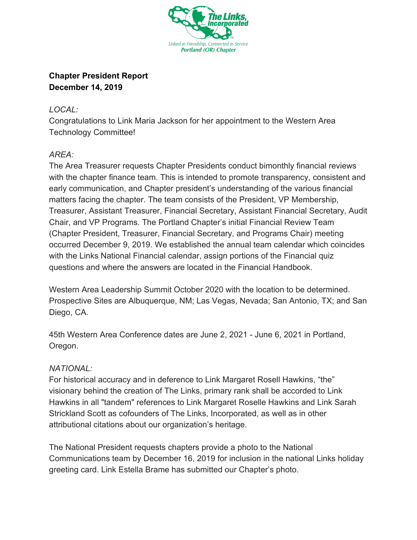

## **Chapter President Report December 14, 2019**

## *LOCAL:*

Congratulations to Link Maria Jackson for her appointment to the Western Area Technology Committee!

## *AREA:*

The Area Treasurer requests Chapter Presidents conduct bimonthly financial reviews with the chapter finance team. This is intended to promote transparency, consistent and early communication, and Chapter president's understanding of the various financial matters facing the chapter. The team consists of the President, VP Membership, Treasurer, Assistant Treasurer, Financial Secretary, Assistant Financial Secretary, Audit Chair, and VP Programs. The Portland Chapter's initial Financial Review Team (Chapter President, Treasurer, Financial Secretary, and Programs Chair) meeting occurred December 9, 2019. We established the annual team calendar which coincides with the Links National Financial calendar, assign portions of the Financial quiz questions and where the answers are located in the Financial Handbook.

Western Area Leadership Summit October 2020 with the location to be determined. Prospective Sites are Albuquerque, NM; Las Vegas, Nevada; San Antonio, TX; and San Diego, CA.

45th Western Area Conference dates are June 2, 2021 - June 6, 2021 in Portland, Oregon.

## *NATIONAL:*

For historical accuracy and in deference to Link Margaret Rosell Hawkins, "the" visionary behind the creation of The Links, primary rank shall be accorded to Link Hawkins in all "tandem" references to Link Margaret Roselle Hawkins and Link Sarah Strickland Scott as cofounders of The Links, Incorporated, as well as in other attributional citations about our organization's heritage.

The National President requests chapters provide a photo to the National Communications team by December 16, 2019 for inclusion in the national Links holiday greeting card. Link Estella Brame has submitted our Chapter's photo.